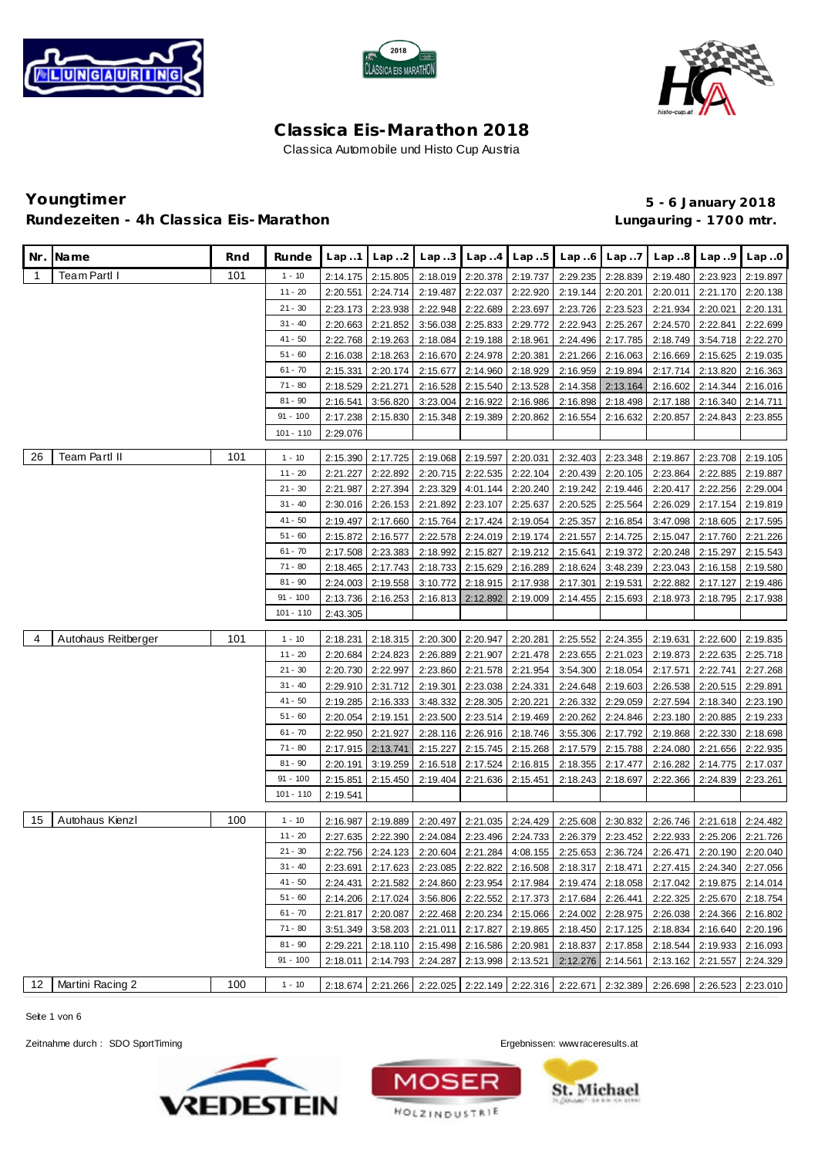





### **Youngtimer 5 - 6 January 2018** Rundezeiten - 4h Classica Eis-Marathon **and Eisene and Classica Eisene Eisene Eisene Eisene Eisene Eisene Eisen**

| Nr.            | Name                | Rnd | Runde       | Lap.1    | Lap.2             | Lap.3    | Lap.4             | Lap.5    | Lap.6                                                                                     | Lap.7             | Lap.8                                                          | Lap.9                      | Lap.0                      |
|----------------|---------------------|-----|-------------|----------|-------------------|----------|-------------------|----------|-------------------------------------------------------------------------------------------|-------------------|----------------------------------------------------------------|----------------------------|----------------------------|
|                |                     |     |             |          |                   |          |                   |          |                                                                                           |                   |                                                                |                            |                            |
| $\overline{1}$ | <b>Team Partl I</b> | 101 | $1 - 10$    | 2:14.175 | 2:15.805          | 2:18.019 | 2:20.378          | 2:19.737 |                                                                                           | 2:29.235 2:28.839 | 2:19.480                                                       | 2:23.923                   | 2:19.897                   |
|                |                     |     | $11 - 20$   | 2:20.551 | 2:24.714          | 2:19.487 | 2:22.037          | 2:22.920 | 2:19.144 2:20.201                                                                         |                   | 2:20.011                                                       | 2:21.170                   | 2:20.138                   |
|                |                     |     | $21 - 30$   | 2:23.173 | 2:23.938          | 2:22.948 | 2:22.689          | 2:23.697 | 2:23.726                                                                                  | 2:23.523          | 2:21.934                                                       | 2:20.021                   | 2:20.131                   |
|                |                     |     | $31 - 40$   | 2:20.663 | 2:21.852          | 3:56.038 | 2:25.833          | 2:29.772 | 2:22.943                                                                                  | 2:25.267          | 2:24.570                                                       | 2:22.841                   | 2:22.699                   |
|                |                     |     | $41 - 50$   | 2:22.768 | 2:19.263          | 2:18.084 | 2:19.188          | 2:18.961 | 2:24.496                                                                                  | 2:17.785          | 2:18.749                                                       | 3:54.718                   | 2:22.270                   |
|                |                     |     | $51 - 60$   | 2:16.038 | 2:18.263          | 2:16.670 | 2:24.978          | 2:20.381 | 2:21.266                                                                                  | 2:16.063          | 2:16.669                                                       | 2:15.625 2:19.035          |                            |
|                |                     |     | $61 - 70$   | 2:15.331 | 2:20.174          | 2:15.677 | 2:14.960          | 2:18.929 | 2:16.959                                                                                  | 2:19.894          | 2:17.714                                                       | 2:13.820                   | 2:16.363                   |
|                |                     |     | $71 - 80$   | 2:18.529 | 2:21.271          | 2:16.528 | 2:15.540          | 2:13.528 | 2:14.358                                                                                  | 2:13.164          | 2:16.602                                                       | 2:14.344                   | 2:16.016                   |
|                |                     |     | $81 - 90$   | 2:16.541 | 3:56.820          | 3:23.004 | 2:16.922          | 2:16.986 | 2:16.898                                                                                  | 2:18.498          | 2:17.188                                                       | 2:16.340                   | 2:14.711                   |
|                |                     |     | $91 - 100$  | 2:17.238 | 2:15.830          | 2:15.348 | 2:19.389          | 2:20.862 | 2:16.554                                                                                  | 2:16.632          | 2:20.857                                                       | 2:24.843                   | 2:23.855                   |
|                |                     |     | $101 - 110$ | 2:29.076 |                   |          |                   |          |                                                                                           |                   |                                                                |                            |                            |
| 26             | Team Partl II       | 101 | $1 - 10$    | 2:15.390 | 2:17.725          |          | 2:19.068 2:19.597 | 2:20.031 |                                                                                           | 2:32.403 2:23.348 | 2:19.867                                                       | 2:23.708 2:19.105          |                            |
|                |                     |     | $11 - 20$   | 2:21.227 | 2:22.892          | 2:20.715 | 2:22.535          | 2:22.104 |                                                                                           | 2:20.439 2:20.105 | 2:23.864                                                       | 2:22.885                   | 2:19.887                   |
|                |                     |     | $21 - 30$   | 2:21.987 | 2:27.394          | 2:23.329 | 4:01.144          | 2:20.240 | 2:19.242                                                                                  | 2:19.446          | 2:20.417                                                       | 2:22.256                   | 2:29.004                   |
|                |                     |     | $31 - 40$   | 2:30.016 | 2:26.153          | 2:21.892 | 2:23.107          | 2:25.637 | 2:20.525                                                                                  | 2:25.564          | 2:26.029                                                       | 2:17.154                   | 2:19.819                   |
|                |                     |     | $41 - 50$   | 2:19.497 | 2:17.660          | 2:15.764 | 2:17.424          | 2:19.054 | 2:25.357                                                                                  | 2:16.854          | 3:47.098                                                       | 2:18.605                   | 2:17.595                   |
|                |                     |     | $51 - 60$   | 2:15.872 | 2:16.577          | 2:22.578 | 2:24.019 2:19.174 |          | 2:21.557                                                                                  | 2:14.725          | 2:15.047                                                       | 2:17.760                   | 2:21.226                   |
|                |                     |     | $61 - 70$   | 2:17.508 | 2:23.383          | 2:18.992 | 2:15.827          | 2:19.212 | 2:15.641                                                                                  | 2:19.372          | 2:20.248                                                       | 2:15.297                   | 2:15.543                   |
|                |                     |     | $71 - 80$   | 2:18.465 | 2:17.743          | 2:18.733 | 2:15.629          | 2:16.289 | 2:18.624                                                                                  | 3:48.239          | 2:23.043                                                       | 2:16.158                   | 2:19.580                   |
|                |                     |     | $81 - 90$   | 2:24.003 | 2:19.558          | 3:10.772 | 2:18.915          | 2:17.938 | 2:17.301                                                                                  | 2:19.531          | 2:22.882                                                       | 2:17.127                   | 2:19.486                   |
|                |                     |     | $91 - 100$  | 2:13.736 | 2:16.253          | 2:16.813 | 2:12.892          | 2:19.009 | 2:14.455                                                                                  | 2:15.693          | 2:18.973                                                       | 2:18.795                   | 2:17.938                   |
|                |                     |     | $101 - 110$ | 2:43.305 |                   |          |                   |          |                                                                                           |                   |                                                                |                            |                            |
|                |                     |     |             |          |                   |          |                   |          |                                                                                           |                   |                                                                |                            |                            |
| 4              | Autohaus Reitberger | 101 | $1 - 10$    | 2:18.231 | 2:18.315          | 2:20.300 | 2:20.947          | 2:20.281 |                                                                                           | 2:25.552 2:24.355 |                                                                | 2:19.631 2:22.600 2:19.835 |                            |
|                |                     |     | $11 - 20$   | 2:20.684 | 2:24.823          | 2:26.889 | 2:21.907          | 2:21.478 |                                                                                           | 2:23.655 2:21.023 | 2:19.873                                                       | 2:22.635                   | 2:25.718                   |
|                |                     |     | $21 - 30$   | 2:20.730 | 2:22.997          | 2:23.860 | 2:21.578          | 2:21.954 | 3:54.300                                                                                  | 2:18.054          | 2:17.571                                                       | 2:22.741                   | 2:27.268                   |
|                |                     |     | $31 - 40$   | 2:29.910 | 2:31.712          | 2:19.301 | 2:23.038          | 2:24.331 | 2:24.648                                                                                  | 2:19.603          | 2:26.538                                                       | 2:20.515                   | 2:29.891                   |
|                |                     |     | $41 - 50$   | 2:19.285 | 2:16.333          | 3:48.332 | 2:28.305          | 2:20.221 |                                                                                           | 2:26.332 2:29.059 | 2:27.594                                                       | 2:18.340                   | 2:23.190                   |
|                |                     |     | $51 - 60$   | 2:20.054 | 2:19.151          | 2:23.500 | 2:23.514          | 2:19.469 | 2:20.262                                                                                  | 2:24.846          | 2:23.180                                                       | 2:20.885                   | 2:19.233                   |
|                |                     |     | $61 - 70$   | 2:22.950 | 2:21.927          | 2:28.116 | 2:26.916          | 2:18.746 | 3:55.306                                                                                  | 2:17.792          | 2:19.868                                                       | 2:22.330                   | 2:18.698                   |
|                |                     |     | $71 - 80$   | 2:17.915 | 2:13.741          | 2:15.227 | 2:15.745          | 2:15.268 | 2:17.579                                                                                  | 2:15.788          | 2:24.080                                                       | 2:21.656                   | 2:22.935                   |
|                |                     |     | $81 - 90$   | 2:20.191 | 3:19.259          | 2:16.518 | 2:17.524          | 2:16.815 | 2:18.355                                                                                  | 2:17.477          | 2:16.282                                                       | 2:14.775                   | 2:17.037                   |
|                |                     |     | $91 - 100$  | 2:15.851 | 2:15.450          | 2:19.404 | 2:21.636          | 2:15.451 |                                                                                           | 2:18.243 2:18.697 | 2:22.366                                                       | 2:24.839                   | 2:23.261                   |
|                |                     |     | $101 - 110$ | 2:19.541 |                   |          |                   |          |                                                                                           |                   |                                                                |                            |                            |
| 15             | Autohaus Kienzl     | 100 | $1 - 10$    | 2:16.987 | 2:19.889          | 2:20.497 | 2:21.035          | 2:24.429 |                                                                                           | 2:25.608 2:30.832 |                                                                | 2:26.746 2:21.618 2:24.482 |                            |
|                |                     |     | $11 - 20$   | 2:27.635 | 2:22.390          | 2:24.084 | 2:23.496          | 2:24.733 |                                                                                           | 2:26.379 2:23.452 |                                                                | 2:22.933 2:25.206          | 2:21.726                   |
|                |                     |     | $21 - 30$   |          | 2:22.756 2:24.123 |          |                   |          | 2:20.604 2:21.284 4:08.155 2:25.653 2:36.724                                              |                   |                                                                |                            | 2:26.471 2:20.190 2:20.040 |
|                |                     |     | $31 - 40$   | 2:23.691 | 2:17.623          |          |                   |          | 2:23.085 2:22.822 2:16.508 2:18.317 2:18.471                                              |                   |                                                                | 2:27.415 2:24.340 2:27.056 |                            |
|                |                     |     | $41 - 50$   | 2:24.431 | 2:21.582          | 2:24.860 |                   |          |                                                                                           |                   | 2:23.954 2:17.984 2:19.474 2:18.058 2:17.042 2:19.875 2:14.014 |                            |                            |
|                |                     |     | $51 - 60$   | 2:14.206 | 2:17.024          |          |                   |          | 3:56.806   2:22.552   2:17.373   2:17.684   2:26.441                                      |                   |                                                                | 2:22.325 2:25.670 2:18.754 |                            |
|                |                     |     | $61 - 70$   | 2:21.817 | 2:20.087          |          | 2:22.468 2:20.234 | 2:15.066 |                                                                                           | 2:24.002 2:28.975 |                                                                | 2:26.038 2:24.366 2:16.802 |                            |
|                |                     |     | 71 - 80     | 3:51.349 | 3:58.203          | 2:21.011 | 2:17.827          | 2:19.865 | 2:18.450                                                                                  | 2:17.125          | 2:18.834                                                       | 2:16.640                   | 2:20.196                   |
|                |                     |     | $81 - 90$   | 2:29.221 | 2:18.110          | 2:15.498 | 2:16.586          | 2:20.981 | 2:18.837                                                                                  | 2:17.858          | 2:18.544                                                       | 2:19.933                   | 2:16.093                   |
|                |                     |     | $91 - 100$  | 2:18.011 | 2:14.793          | 2:24.287 | 2:13.998 2:13.521 |          |                                                                                           | 2:12.276 2:14.561 |                                                                | 2:13.162 2:21.557          | 2:24.329                   |
|                |                     |     |             |          |                   |          |                   |          |                                                                                           |                   |                                                                |                            |                            |
| 12             | Martini Racing 2    | 100 | $1 - 10$    |          |                   |          |                   |          | 2:18.674 2:21.266 2:22.025 2:22.149 2:22.316 2:22.671 2:32.389 2:26.698 2:26.523 2:23.010 |                   |                                                                |                            |                            |

Seite 1 von 6





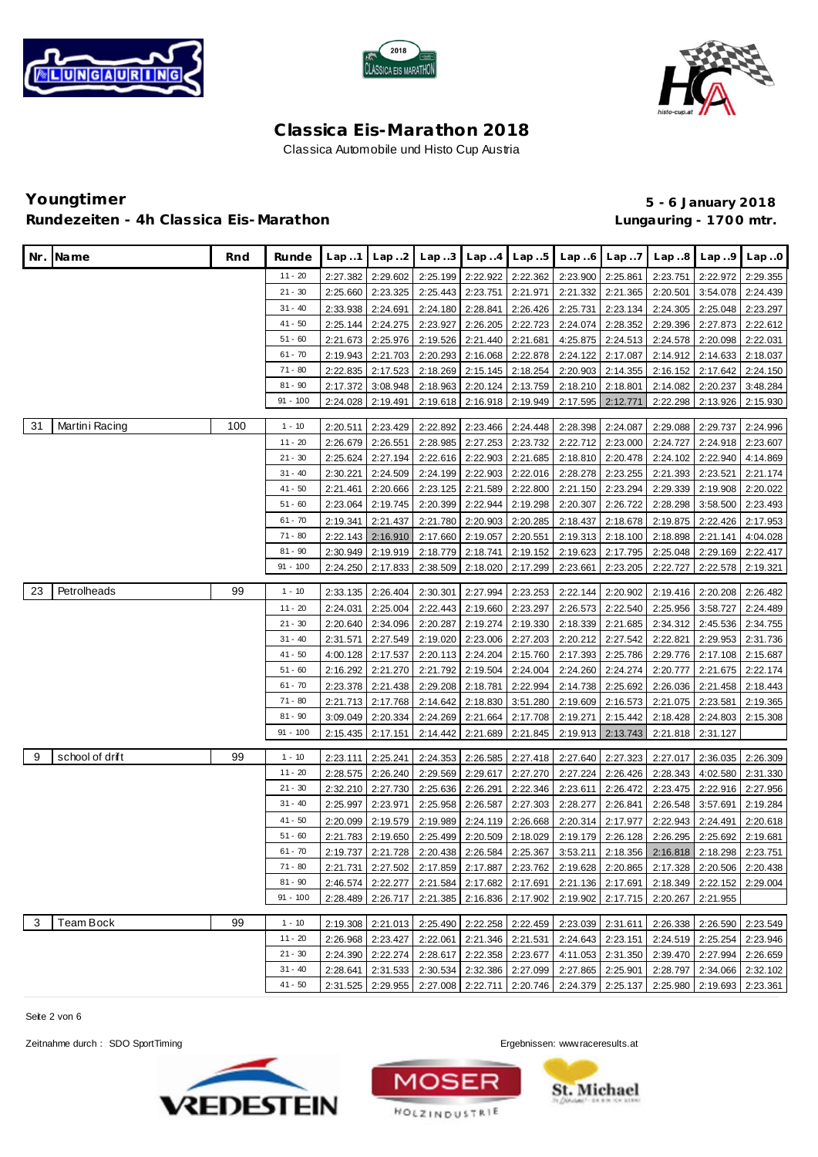





# **Youngtimer 5 - 6 January 2018** Rundezeiten - 4h Classica Eis-Marathon **and Eisene and Classica Eisene Eisene Eisene Eisene Eisene Eisene Eisen**

| Nr. | Name            | Rnd | Runde      | Lap.1    | Lap.2             | Lap.3    | Lap.4    | Lap.5    | Lap.6                                                | Lap.7             | Lap.8                                                                                     | Lap.9                      | Lap.0    |
|-----|-----------------|-----|------------|----------|-------------------|----------|----------|----------|------------------------------------------------------|-------------------|-------------------------------------------------------------------------------------------|----------------------------|----------|
|     |                 |     | $11 - 20$  | 2:27.382 | 2:29.602          | 2:25.199 | 2:22.922 | 2:22.362 | 2:23.900                                             | 2:25.861          | 2:23.751                                                                                  | 2:22.972                   | 2:29.355 |
|     |                 |     | $21 - 30$  | 2:25.660 | 2:23.325          | 2:25.443 | 2:23.751 | 2:21.971 | 2:21.332                                             | 2:21.365          | 2:20.501                                                                                  | 3:54.078                   | 2:24.439 |
|     |                 |     | $31 - 40$  | 2:33.938 | 2:24.691          | 2:24.180 | 2:28.841 | 2:26.426 | 2:25.731                                             | 2:23.134          | 2:24.305                                                                                  | 2:25.048                   | 2:23.297 |
|     |                 |     | $41 - 50$  | 2:25.144 | 2:24.275          | 2:23.927 | 2:26.205 | 2:22.723 | 2:24.074                                             | 2:28.352          | 2:29.396                                                                                  | 2:27.873                   | 2:22.612 |
|     |                 |     | $51 - 60$  | 2:21.673 | 2:25.976          | 2:19.526 | 2:21.440 | 2:21.681 | 4:25.875                                             | 2:24.513          | 2:24.578                                                                                  | 2:20.098                   | 2:22.031 |
|     |                 |     | $61 - 70$  | 2:19.943 | 2:21.703          | 2:20.293 | 2:16.068 | 2:22.878 | 2:24.122                                             | 2:17.087          | 2:14.912                                                                                  | 2:14.633                   | 2:18.037 |
|     |                 |     | $71 - 80$  | 2:22.835 | 2:17.523          | 2:18.269 | 2:15.145 | 2:18.254 | 2:20.903                                             | 2:14.355          | 2:16.152                                                                                  | 2:17.642                   | 2:24.150 |
|     |                 |     | $81 - 90$  | 2:17.372 | 3:08.948          | 2:18.963 | 2:20.124 | 2:13.759 | 2:18.210                                             | 2:18.801          | 2:14.082                                                                                  | 2:20.237                   | 3:48.284 |
|     |                 |     | $91 - 100$ | 2:24.028 | 2:19.491          | 2:19.618 | 2:16.918 | 2:19.949 | 2:17.595                                             | 2:12.771          | 2:22.298                                                                                  | 2:13.926                   | 2:15.930 |
| 31  | Martini Racing  | 100 | $1 - 10$   | 2:20.511 | 2:23.429          | 2:22.892 | 2:23.466 | 2:24.448 | 2:28.398                                             | 2:24.087          | 2:29.088                                                                                  | 2:29.737                   | 2:24.996 |
|     |                 |     | $11 - 20$  | 2:26.679 | 2:26.551          | 2:28.985 | 2:27.253 | 2:23.732 | 2:22.712                                             | 2:23.000          | 2:24.727                                                                                  | 2:24.918                   | 2:23.607 |
|     |                 |     | $21 - 30$  | 2:25.624 | 2:27.194          | 2:22.616 | 2:22.903 | 2:21.685 | 2:18.810                                             | 2:20.478          | 2:24.102                                                                                  | 2:22.940                   | 4:14.869 |
|     |                 |     | $31 - 40$  | 2:30.221 | 2:24.509          | 2:24.199 | 2:22.903 | 2:22.016 | 2:28.278                                             | 2:23.255          | 2:21.393                                                                                  | 2:23.521                   | 2:21.174 |
|     |                 |     | $41 - 50$  | 2:21.461 | 2:20.666          | 2:23.125 | 2:21.589 | 2:22.800 | 2:21.150                                             | 2:23.294          | 2:29.339                                                                                  | 2:19.908                   | 2:20.022 |
|     |                 |     | $51 - 60$  | 2:23.064 | 2:19.745          | 2:20.399 | 2:22.944 | 2:19.298 | 2:20.307                                             | 2:26.722          | 2:28.298                                                                                  | 3:58.500                   | 2:23.493 |
|     |                 |     | $61 - 70$  | 2:19.341 | 2:21.437          | 2:21.780 | 2:20.903 | 2:20.285 | 2:18.437                                             | 2:18.678          | 2:19.875                                                                                  | 2:22.426                   | 2:17.953 |
|     |                 |     | $71 - 80$  | 2:22.143 | 2:16.910          | 2:17.660 | 2:19.057 | 2:20.551 | 2:19.313                                             | 2:18.100          | 2:18.898                                                                                  | 2:21.141                   | 4:04.028 |
|     |                 |     | $81 - 90$  | 2:30.949 | 2:19.919          | 2:18.779 | 2:18.741 | 2:19.152 | 2:19.623                                             | 2:17.795          | 2:25.048                                                                                  | 2:29.169                   | 2:22.417 |
|     |                 |     | $91 - 100$ | 2:24.250 | 2:17.833          | 2:38.509 | 2:18.020 | 2:17.299 | 2:23.661                                             | 2:23.205          | 2:22.727                                                                                  | 2:22.578                   | 2:19.321 |
| 23  | Petrolheads     | 99  | $1 - 10$   | 2:33.135 | 2:26.404          | 2:30.301 | 2:27.994 | 2:23.253 | 2:22.144                                             | 2:20.902          | 2:19.416                                                                                  | 2:20.208                   | 2:26.482 |
|     |                 |     | $11 - 20$  | 2:24.031 | 2:25.004          | 2:22.443 | 2:19.660 | 2:23.297 | 2:26.573                                             | 2:22.540          | 2:25.956                                                                                  | 3:58.727                   | 2:24.489 |
|     |                 |     | $21 - 30$  | 2:20.640 | 2:34.096          | 2:20.287 | 2:19.274 | 2:19.330 | 2:18.339                                             | 2:21.685          | 2:34.312                                                                                  | 2:45.536                   | 2:34.755 |
|     |                 |     | $31 - 40$  | 2:31.571 | 2:27.549          | 2:19.020 | 2:23.006 | 2:27.203 | 2:20.212                                             | 2:27.542          | 2:22.821                                                                                  | 2:29.953                   | 2:31.736 |
|     |                 |     | $41 - 50$  | 4:00.128 | 2:17.537          | 2:20.113 | 2:24.204 | 2:15.760 | 2:17.393                                             | 2:25.786          | 2:29.776                                                                                  | 2:17.108                   | 2:15.687 |
|     |                 |     | $51 - 60$  | 2:16.292 | 2:21.270          | 2:21.792 | 2:19.504 | 2:24.004 | 2:24.260                                             | 2:24.274          | 2:20.777                                                                                  | 2:21.675                   | 2:22.174 |
|     |                 |     | $61 - 70$  | 2:23.378 | 2:21.438          | 2:29.208 | 2:18.781 | 2:22.994 | 2:14.738                                             | 2:25.692          | 2:26.036                                                                                  | 2:21.458                   | 2:18.443 |
|     |                 |     | $71 - 80$  | 2:21.713 | 2:17.768          | 2:14.642 | 2:18.830 | 3:51.280 | 2:19.609                                             | 2:16.573          | 2:21.075                                                                                  | 2:23.581                   | 2:19.365 |
|     |                 |     | $81 - 90$  | 3:09.049 | 2:20.334          | 2:24.269 | 2:21.664 | 2:17.708 | 2:19.271                                             | 2:15.442          | 2:18.428                                                                                  | 2:24.803                   | 2:15.308 |
|     |                 |     | $91 - 100$ | 2:15.435 | 2:17.151          | 2:14.442 | 2:21.689 | 2:21.845 | 2:19.913                                             | 2:13.743          | 2:21.818                                                                                  | 2:31.127                   |          |
| 9   | school of drift | 99  | $1 - 10$   | 2:23.111 | 2:25.241          | 2:24.353 | 2:26.585 | 2:27.418 | 2:27.640                                             | 2:27.323          | 2:27.017                                                                                  | 2:36.035                   | 2:26.309 |
|     |                 |     | $11 - 20$  | 2:28.575 | 2:26.240          | 2:29.569 | 2:29.617 | 2:27.270 | 2:27.224                                             | 2:26.426          | 2:28.343                                                                                  | 4:02.580                   | 2:31.330 |
|     |                 |     | $21 - 30$  | 2:32.210 | 2:27.730          | 2:25.636 | 2:26.291 | 2:22.346 | 2:23.611                                             | 2:26.472          | 2:23.475                                                                                  | 2:22.916                   | 2:27.956 |
|     |                 |     | $31 - 40$  | 2:25.997 | 2:23.971          | 2:25.958 | 2:26.587 | 2:27.303 | 2:28.277                                             | 2:26.841          | 2:26.548                                                                                  | 3:57.691                   | 2:19.284 |
|     |                 |     | $41 - 50$  | 2:20.099 | 2:19.579          | 2:19.989 | 2:24.119 | 2:26.668 | 2:20.314                                             | 2:17.977          | 2:22.943                                                                                  | 2:24.491                   | 2:20.618 |
|     |                 |     | $51 - 60$  | 2:21.783 | 2:19.650          | 2:25.499 | 2:20.509 | 2:18.029 | 2:19.179                                             | 2:26.128          | 2:26.295                                                                                  | 2:25.692                   | 2:19.681 |
|     |                 |     | $61 - 70$  | 2:19.737 | 2:21.728          | 2:20.438 | 2:26.584 | 2:25.367 |                                                      | 3:53.211 2:18.356 | 2:16.818                                                                                  | 2:18.298 2:23.751          |          |
|     |                 |     | $71 - 80$  |          |                   |          |          |          |                                                      |                   | 2:21.731 2:27.502 2:17.859 2:17.887 2:23.762 2:19.628 2:20.865 2:17.328 2:20.506 2:20.438 |                            |          |
|     |                 |     | $81 - 90$  |          | 2:46.574 2:22.277 |          |          |          |                                                      |                   | 2:21.584 2:17.682 2:17.691 2:21.136 2:17.691 2:18.349 2:22.152 2:29.004                   |                            |          |
|     |                 |     | $91 - 100$ |          |                   |          |          |          |                                                      |                   | 2:28.489 2:26.717 2:21.385 2:16.836 2:17.902 2:19.902 2:17.715 2:20.267 2:21.955          |                            |          |
| 3   | Team Bock       | 99  | $1 - 10$   |          | 2:19.308 2:21.013 |          |          |          | 2:25.490 2:22.258 2:22.459 2:23.039 2:31.611         |                   | 2:26.338                                                                                  | 2:26.590 2:23.549          |          |
|     |                 |     | $11 - 20$  |          | 2:26.968 2:23.427 |          |          |          | 2:22.061 2:21.346 2:21.531 2:24.643 2:23.151         |                   |                                                                                           | 2:24.519 2:25.254 2:23.946 |          |
|     |                 |     | $21 - 30$  | 2:24.390 | 2:22.274          |          |          |          |                                                      |                   | 2:28.617 2:22.358 2:23.677 4:11.053 2:31.350 2:39.470 2:27.994 2:26.659                   |                            |          |
|     |                 |     | $31 - 40$  | 2:28.641 | 2:31.533          |          |          |          | 2:30.534 2:32.386 2:27.099 2:27.865 2:25.901         |                   |                                                                                           | 2:28.797 2:34.066          | 2:32.102 |
|     |                 |     | $41 - 50$  | 2:31.525 | 2:29.955          |          |          |          | 2:27.008   2:22.711   2:20.746   2:24.379   2:25.137 |                   |                                                                                           | 2:25.980 2:19.693 2:23.361 |          |

Seite 2 von 6





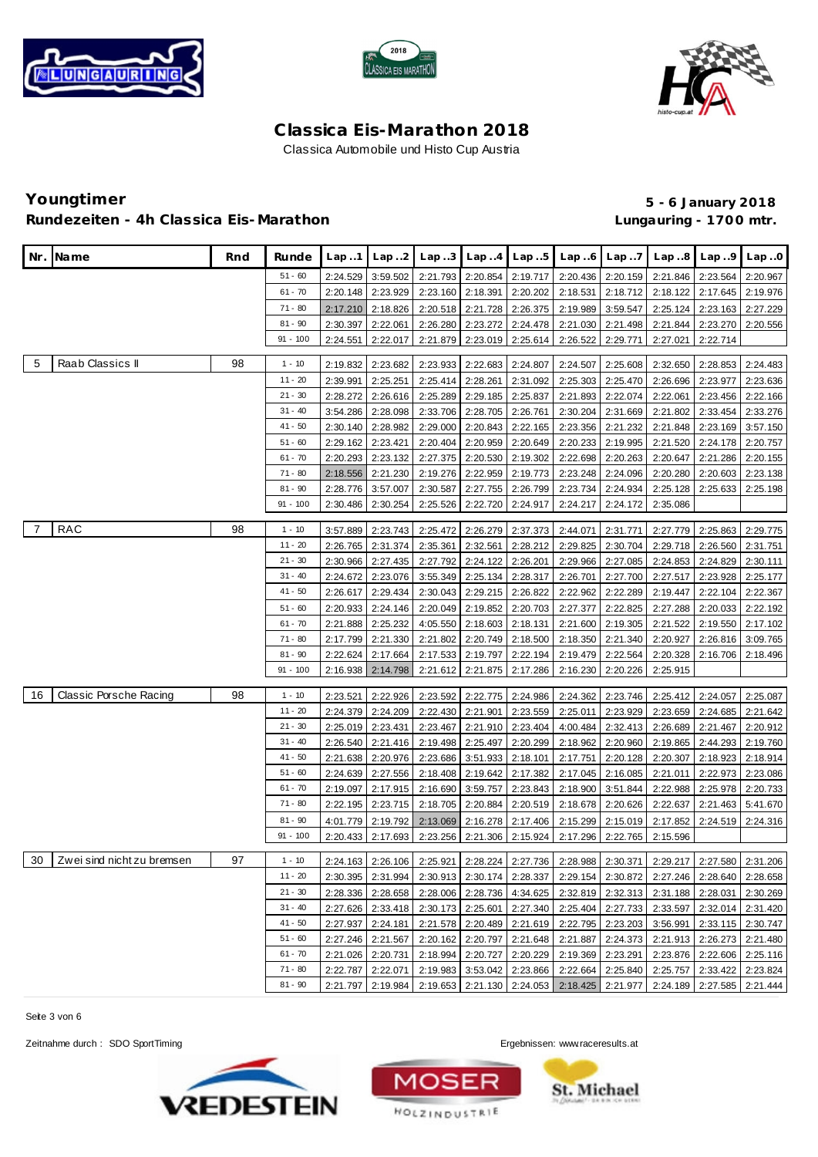





## **Youngtimer 5 - 6 January 2018** Rundezeiten - 4h Classica Eis-Marathon **and Eisene and Classica Eisene Eisene Eisene Eisene Eisene Eisene Eisen**

|    | Nr. Name                      | Rnd | Runde                  | Lap.1                | Lap.2                | Lap.3                | Lap.4                      | Lap.5                | Lap6                                         | Lap.7                | Lap.8                                                                                     | Lap.9                      | Lap.0                |
|----|-------------------------------|-----|------------------------|----------------------|----------------------|----------------------|----------------------------|----------------------|----------------------------------------------|----------------------|-------------------------------------------------------------------------------------------|----------------------------|----------------------|
|    |                               |     | $51 - 60$              | 2:24.529             | 3:59.502             | 2:21.793             | 2:20.854                   | 2:19.717             | 2:20.436                                     | 2:20.159             | 2:21.846                                                                                  | 2:23.564                   | 2:20.967             |
|    |                               |     | $61 - 70$              | 2:20.148             | 2:23.929             | 2:23.160             | 2:18.391                   | 2:20.202             | 2:18.531                                     | 2:18.712             | 2:18.122                                                                                  | 2:17.645                   | 2:19.976             |
|    |                               |     | $71 - 80$              | 2:17.210             | 2:18.826             | 2:20.518             | 2:21.728                   | 2:26.375             | 2:19.989                                     | 3:59.547             | 2:25.124                                                                                  | 2:23.163                   | 2:27.229             |
|    |                               |     | $81 - 90$              | 2:30.397             | 2:22.061             | 2:26.280             | 2:23.272                   | 2:24.478             | 2:21.030                                     | 2:21.498             | 2:21.844                                                                                  | 2:23.270                   | 2:20.556             |
|    |                               |     | $91 - 100$             | 2:24.551             | 2:22.017             | 2:21.879             | 2:23.019                   | 2:25.614             | 2:26.522                                     | 2:29.771             | 2:27.021                                                                                  | 2:22.714                   |                      |
|    |                               |     |                        |                      |                      |                      |                            |                      |                                              |                      |                                                                                           |                            |                      |
| 5  | Raab Classics II              | 98  | $1 - 10$               | 2:19.832             | 2:23.682             | 2:23.933             | 2:22.683                   | 2:24.807             | 2:24.507                                     | 2:25.608             | 2:32.650                                                                                  | 2:28.853                   | 2:24.483             |
|    |                               |     | $11 - 20$              | 2:39.991             | 2:25.251             | 2:25.414             | 2:28.261                   | 2:31.092             | 2:25.303                                     | 2:25.470             | 2:26.696                                                                                  | 2:23.977                   | 2:23.636             |
|    |                               |     | $21 - 30$<br>$31 - 40$ | 2:28.272             | 2:26.616             | 2:25.289             | 2:29.185                   | 2:25.837             | 2:21.893                                     | 2:22.074             | 2:22.061                                                                                  | 2:23.456                   | 2:22.166             |
|    |                               |     | $41 - 50$              | 3:54.286             | 2:28.098<br>2:28.982 | 2:33.706<br>2:29.000 | 2:28.705                   | 2:26.761<br>2:22.165 | 2:30.204                                     | 2:31.669<br>2:21.232 | 2:21.802<br>2:21.848                                                                      | 2:33.454<br>2:23.169       | 2:33.276             |
|    |                               |     | $51 - 60$              | 2:30.140<br>2:29.162 | 2:23.421             | 2:20.404             | 2:20.843<br>2:20.959       | 2:20.649             | 2:23.356<br>2:20.233                         | 2:19.995             | 2:21.520                                                                                  | 2:24.178                   | 3:57.150<br>2:20.757 |
|    |                               |     | $61 - 70$              | 2:20.293             | 2:23.132             | 2:27.375             | 2:20.530                   | 2:19.302             | 2:22.698                                     | 2:20.263             | 2:20.647                                                                                  | 2:21.286                   | 2:20.155             |
|    |                               |     | 71 - 80                | 2:18.556             | 2:21.230             | 2:19.276             | 2:22.959                   | 2:19.773             | 2:23.248                                     | 2:24.096             | 2:20.280                                                                                  | 2:20.603                   | 2:23.138             |
|    |                               |     | $81 - 90$              | 2:28.776             | 3:57.007             | 2:30.587             | 2:27.755                   | 2:26.799             | 2:23.734                                     | 2:24.934             | 2:25.128                                                                                  | 2:25.633                   | 2:25.198             |
|    |                               |     | $91 - 100$             | 2:30.486             | 2:30.254             | 2:25.526             | 2:22.720                   | 2:24.917             | 2:24.217                                     | 2:24.172             | 2:35.086                                                                                  |                            |                      |
| 7  | <b>RAC</b>                    | 98  |                        |                      |                      |                      |                            |                      |                                              |                      |                                                                                           |                            |                      |
|    |                               |     | $1 - 10$<br>$11 - 20$  | 3:57.889             | 2:23.743<br>2:31.374 | 2:25.472<br>2:35.361 | 2:26.279<br>2:32.561       | 2:37.373<br>2:28.212 | 2:44.071<br>2:29.825                         | 2:31.771             | 2:27.779<br>2:29.718                                                                      | 2:25.863<br>2:26.560       | 2:29.775             |
|    |                               |     | $21 - 30$              | 2:26.765<br>2:30.966 | 2:27.435             | 2:27.792             | 2:24.122                   | 2:26.201             | 2:29.966                                     | 2:30.704<br>2:27.085 | 2:24.853                                                                                  | 2:24.829                   | 2:31.751<br>2:30.111 |
|    |                               |     | $31 - 40$              | 2:24.672             | 2:23.076             | 3:55.349             | 2:25.134                   | 2:28.317             | 2:26.701                                     | 2:27.700             | 2:27.517                                                                                  | 2:23.928                   | 2:25.177             |
|    |                               |     | $41 - 50$              | 2:26.617             | 2:29.434             | 2:30.043             | 2:29.215                   | 2:26.822             | 2:22.962                                     | 2:22.289             | 2:19.447                                                                                  | 2:22.104                   | 2:22.367             |
|    |                               |     | $51 - 60$              | 2:20.933             | 2:24.146             | 2:20.049             | 2:19.852                   | 2:20.703             | 2:27.377                                     | 2:22.825             | 2:27.288                                                                                  | 2:20.033                   | 2:22.192             |
|    |                               |     | $61 - 70$              | 2:21.888             | 2:25.232             | 4:05.550             | 2:18.603                   | 2:18.131             | 2:21.600                                     | 2:19.305             | 2:21.522                                                                                  | 2:19.550                   | 2:17.102             |
|    |                               |     | 71 - 80                | 2:17.799             | 2:21.330             | 2:21.802             | 2:20.749                   | 2:18.500             | 2:18.350                                     | 2:21.340             | 2:20.927                                                                                  | 2:26.816                   | 3:09.765             |
|    |                               |     | $81 - 90$              | 2:22.624             | 2:17.664             | 2:17.533             | 2:19.797                   | 2:22.194             | 2:19.479                                     | 2:22.564             | 2:20.328                                                                                  | 2:16.706                   | 2:18.496             |
|    |                               |     | $91 - 100$             | 2:16.938             | 2:14.798             | 2:21.612             | 2:21.875                   | 2:17.286             | 2:16.230                                     | 2:20.226             | 2:25.915                                                                                  |                            |                      |
| 16 | <b>Classic Porsche Racing</b> | 98  | $1 - 10$               |                      | 2:22.926             |                      |                            | 2:24.986             |                                              |                      |                                                                                           | 2:24.057                   |                      |
|    |                               |     | 11 - 20                | 2:23.521<br>2:24.379 | 2:24.209             | 2:23.592<br>2:22.430 | 2:22.775<br>2:21.901       | 2:23.559             | 2:24.362<br>2:25.011                         | 2:23.746<br>2:23.929 | 2:25.412<br>2:23.659                                                                      | 2:24.685                   | 2:25.087<br>2:21.642 |
|    |                               |     | $21 - 30$              | 2:25.019             | 2:23.431             | 2:23.467             | 2:21.910                   | 2:23.404             | 4:00.484                                     | 2:32.413             | 2:26.689                                                                                  | 2:21.467                   | 2:20.912             |
|    |                               |     | $31 - 40$              | 2:26.540             | 2:21.416             | 2:19.498             | 2:25.497                   | 2:20.299             | 2:18.962                                     | 2:20.960             | 2:19.865                                                                                  | 2:44.293                   | 2:19.760             |
|    |                               |     | $41 - 50$              | 2:21.638             | 2:20.976             | 2:23.686             | 3:51.933                   | 2:18.101             | 2:17.751                                     | 2:20.128             | 2:20.307                                                                                  | 2:18.923                   | 2:18.914             |
|    |                               |     | $51 - 60$              | 2:24.639             | 2:27.556             | 2:18.408             | 2:19.642                   | 2:17.382             | 2:17.045                                     | 2:16.085             | 2:21.011                                                                                  | 2:22.973                   | 2:23.086             |
|    |                               |     | $61 - 70$              | 2:19.097             | 2:17.915             | 2:16.690             | 3:59.757                   | 2:23.843             | 2:18.900                                     | 3:51.844             | 2:22.988                                                                                  | 2:25.978                   | 2:20.733             |
|    |                               |     | $71 - 80$              | 2:22.195             | 2:23.715             | 2:18.705             | 2:20.884                   | 2:20.519             | 2:18.678                                     | 2:20.626             | 2:22.637                                                                                  | 2:21.463                   | 5:41.670             |
|    |                               |     | $81 - 90$              | 4:01.779             | 2:19.792             | 2:13.069             | 2:16.278                   | 2:17.406             | 2:15.299                                     | 2:15.019             | 2:17.852                                                                                  | 2:24.519                   | 2:24.316             |
|    |                               |     | $91 - 100$             | 2:20.433             | 2:17.693             | 2:23.256             | 2:21.306                   | 2:15.924             | 2:17.296                                     | 2:22.765             | 2:15.596                                                                                  |                            |                      |
|    | 30 Zwei sind nicht zu bremsen | 97  | 1 - 10                 |                      |                      |                      |                            |                      |                                              |                      | 2:24.163 2:26.106 2:25.921 2:28.224 2:27.736 2:28.988 2:30.371 2:29.217 2:27.580 2:31.206 |                            |                      |
|    |                               |     | $11 - 20$              |                      | 2:30.395 2:31.994    |                      |                            |                      | 2:30.913 2:30.174 2:28.337 2:29.154 2:30.872 |                      |                                                                                           | 2:27.246 2:28.640 2:28.658 |                      |
|    |                               |     | $21 - 30$              | 2:28.336             | 2:28.658             |                      |                            |                      | 2:28.006 2:28.736 4:34.625 2:32.819 2:32.313 |                      |                                                                                           | 2:31.188 2:28.031 2:30.269 |                      |
|    |                               |     | $31 - 40$              |                      | 2:27.626 2:33.418    |                      |                            |                      | 2:30.173 2:25.601 2:27.340 2:25.404 2:27.733 |                      | 2:33.597                                                                                  | 2:32.014 2:31.420          |                      |
|    |                               |     | $41 - 50$              | 2:27.937             | 2:24.181             |                      |                            |                      | 2:21.578 2:20.489 2:21.619 2:22.795 2:23.203 |                      |                                                                                           | 3:56.991 2:33.115 2:30.747 |                      |
|    |                               |     | $51 - 60$              | 2:27.246             | 2:21.567             |                      | 2:20.162 2:20.797 2:21.648 |                      | 2:21.887 2:24.373                            |                      |                                                                                           | 2:21.913 2:26.273          | 2:21.480             |
|    |                               |     | $61 - 70$              | 2:21.026             | 2:20.731             | 2:18.994             | 2:20.727                   | 2:20.229             | 2:19.369                                     | 2:23.291             |                                                                                           | 2:23.876 2:22.606          | 2:25.116             |
|    |                               |     | 71 - 80                | 2:22.787             | 2:22.071             |                      | 2:19.983 3:53.042 2:23.866 |                      |                                              | 2:22.664 2:25.840    | 2:25.757                                                                                  | 2:33.422                   | 2:23.824             |
|    |                               |     | $81 - 90$              | 2:21.797             | 2:19.984             |                      | 2:19.653 2:21.130 2:24.053 |                      |                                              | 2:18.425 2:21.977    |                                                                                           | 2:24.189 2:27.585          | 2:21.444             |

Seite 3 von 6

Zeitnahme durch : SDO SportTiming Ergebnissen: <www.raceresults.at>





**St. Michael**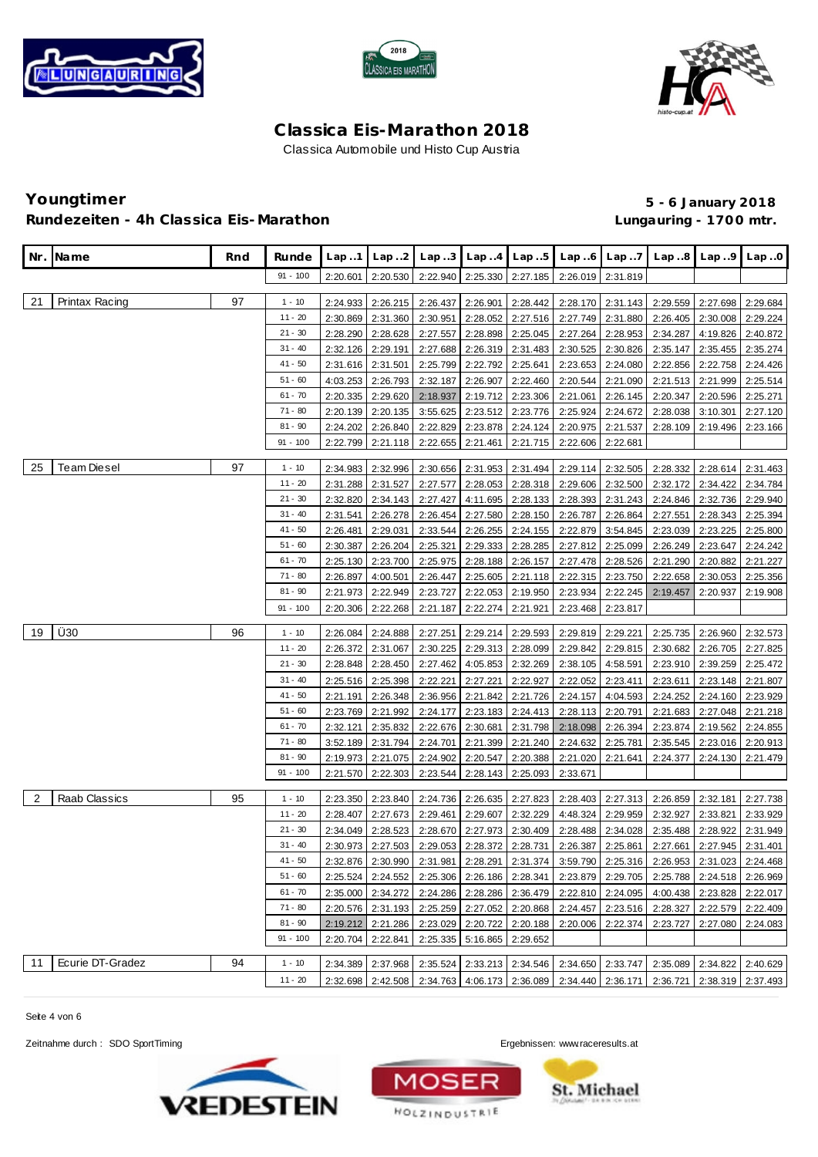





### **Youngtimer 5 - 6 January 2018** Rundezeiten - 4h Classica Eis-Marathon **and Eisene and Classica Eisene Eisene Eisene Eisene Eisene Eisene Eisen**

| Nr. | Name                 | Rnd | Runde      | Lap.1    | Lap. .2           | Lap.3    | Lap.4             | Lap.5                      | Lap.6                                                | Lap.7             | Lap.8                                                                                     | Lap.9             | Lap.0    |
|-----|----------------------|-----|------------|----------|-------------------|----------|-------------------|----------------------------|------------------------------------------------------|-------------------|-------------------------------------------------------------------------------------------|-------------------|----------|
|     |                      |     | $91 - 100$ | 2:20.601 | 2:20.530          | 2:22.940 | 2:25.330          | 2:27.185                   | 2:26.019                                             | 2:31.819          |                                                                                           |                   |          |
|     |                      |     |            |          |                   |          |                   |                            |                                                      |                   |                                                                                           |                   |          |
| 21  | Printax Racing       | 97  | $1 - 10$   | 2:24.933 | 2:26.215          | 2:26.437 | 2:26.901          | 2:28.442                   | 2:28.170                                             | 2:31.143          | 2:29.559                                                                                  | 2:27.698          | 2:29.684 |
|     |                      |     | $11 - 20$  | 2:30.869 | 2:31.360          | 2:30.951 | 2:28.052          | 2:27.516                   | 2:27.749                                             | 2:31.880          | 2:26.405                                                                                  | 2:30.008          | 2:29.224 |
|     |                      |     | $21 - 30$  | 2:28.290 | 2:28.628          | 2:27.557 | 2:28.898          | 2:25.045                   | 2:27.264                                             | 2:28.953          | 2:34.287                                                                                  | 4:19.826          | 2:40.872 |
|     |                      |     | $31 - 40$  | 2:32.126 | 2:29.191          | 2:27.688 | 2:26.319          | 2:31.483                   | 2:30.525                                             | 2:30.826          | 2:35.147                                                                                  | 2:35.455          | 2:35.274 |
|     |                      |     | 41 - 50    | 2:31.616 | 2:31.501          | 2:25.799 | 2:22.792          | 2:25.641                   | 2:23.653                                             | 2:24.080          | 2:22.856                                                                                  | 2:22.758          | 2:24.426 |
|     |                      |     | $51 - 60$  | 4:03.253 | 2:26.793          | 2:32.187 | 2:26.907          | 2:22.460                   | 2:20.544                                             | 2:21.090          | 2:21.513                                                                                  | 2:21.999          | 2:25.514 |
|     |                      |     | $61 - 70$  | 2:20.335 | 2:29.620          | 2:18.937 | 2:19.712          | 2:23.306                   | 2:21.061                                             | 2:26.145          | 2:20.347                                                                                  | 2:20.596          | 2:25.271 |
|     |                      |     | $71 - 80$  | 2:20.139 | 2:20.135          | 3:55.625 | 2:23.512          | 2:23.776                   | 2:25.924                                             | 2:24.672          | 2:28.038                                                                                  | 3:10.301          | 2:27.120 |
|     |                      |     | $81 - 90$  | 2:24.202 | 2:26.840          | 2:22.829 | 2:23.878          | 2:24.124                   | 2:20.975                                             | 2:21.537          | 2:28.109                                                                                  | 2:19.496          | 2:23.166 |
|     |                      |     | $91 - 100$ | 2:22.799 | 2:21.118          | 2:22.655 | 2:21.461          | 2:21.715                   | 2:22.606                                             | 2:22.681          |                                                                                           |                   |          |
| 25  | Team Diesel          | 97  | $1 - 10$   | 2:34.983 | 2:32.996          | 2:30.656 | 2:31.953          | 2:31.494                   | 2:29.114                                             | 2:32.505          | 2:28.332                                                                                  | 2:28.614          | 2:31.463 |
|     |                      |     | $11 - 20$  | 2:31.288 | 2:31.527          | 2:27.577 | 2:28.053          | 2:28.318                   | 2:29.606                                             | 2:32.500          | 2:32.172                                                                                  | 2:34.422          | 2:34.784 |
|     |                      |     | $21 - 30$  | 2:32.820 | 2:34.143          | 2:27.427 | 4:11.695          | 2:28.133                   | 2:28.393                                             | 2:31.243          | 2:24.846                                                                                  | 2:32.736          | 2:29.940 |
|     |                      |     | $31 - 40$  | 2:31.541 | 2:26.278          | 2:26.454 | 2:27.580          | 2:28.150                   | 2:26.787                                             | 2:26.864          | 2:27.551                                                                                  | 2:28.343          | 2:25.394 |
|     |                      |     | $41 - 50$  | 2:26.481 | 2:29.031          | 2:33.544 | 2:26.255          | 2:24.155                   | 2:22.879                                             | 3:54.845          | 2:23.039                                                                                  | 2:23.225          | 2:25.800 |
|     |                      |     | $51 - 60$  | 2:30.387 | 2:26.204          | 2:25.321 | 2:29.333          | 2:28.285                   | 2:27.812                                             | 2:25.099          | 2:26.249                                                                                  | 2:23.647          | 2:24.242 |
|     |                      |     | $61 - 70$  | 2:25.130 | 2:23.700          | 2:25.975 | 2:28.188          | 2:26.157                   | 2:27.478                                             | 2:28.526          | 2:21.290                                                                                  | 2:20.882          | 2:21.227 |
|     |                      |     | $71 - 80$  | 2:26.897 | 4:00.501          | 2:26.447 | 2:25.605          | 2:21.118                   | 2:22.315                                             | 2:23.750          | 2:22.658                                                                                  | 2:30.053          | 2:25.356 |
|     |                      |     | $81 - 90$  | 2:21.973 | 2:22.949          | 2:23.727 | 2:22.053          | 2:19.950                   | 2:23.934                                             | 2:22.245          | 2:19.457                                                                                  | 2:20.937          | 2:19.908 |
|     |                      |     | $91 - 100$ | 2:20.306 | 2:22.268          | 2:21.187 | 2:22.274          | 2:21.921                   | 2:23.468                                             | 2:23.817          |                                                                                           |                   |          |
|     |                      |     |            |          |                   |          |                   |                            |                                                      |                   |                                                                                           |                   |          |
| 19  | Ü30                  | 96  | $1 - 10$   | 2:26.084 | 2:24.888          | 2:27.251 | 2:29.214          | 2:29.593                   | 2:29.819                                             | 2:29.221          | 2:25.735                                                                                  | 2:26.960          | 2:32.573 |
|     |                      |     | $11 - 20$  | 2:26.372 | 2:31.067          | 2:30.225 | 2:29.313          | 2:28.099                   | 2:29.842                                             | 2:29.815          | 2:30.682                                                                                  | 2:26.705          | 2:27.825 |
|     |                      |     | $21 - 30$  | 2:28.848 | 2:28.450          | 2:27.462 | 4:05.853          | 2:32.269                   | 2:38.105                                             | 4:58.591          | 2:23.910                                                                                  | 2:39.259          | 2:25.472 |
|     |                      |     | $31 - 40$  | 2:25.516 | 2:25.398          | 2:22.221 | 2:27.221          | 2:22.927                   | 2:22.052                                             | 2:23.411          | 2:23.611                                                                                  | 2:23.148          | 2:21.807 |
|     |                      |     | $41 - 50$  | 2:21.191 | 2:26.348          | 2:36.956 | 2:21.842          | 2:21.726                   | 2:24.157                                             | 4:04.593          | 2:24.252                                                                                  | 2:24.160          | 2:23.929 |
|     |                      |     | $51 - 60$  | 2:23.769 | 2:21.992          | 2:24.177 | 2:23.183          | 2:24.413                   | 2:28.113                                             | 2:20.791          | 2:21.683                                                                                  | 2:27.048          | 2:21.218 |
|     |                      |     | $61 - 70$  | 2:32.121 | 2:35.832          | 2:22.676 | 2:30.681          | 2:31.798                   | 2:18.098                                             | 2:26.394          | 2:23.874                                                                                  | 2:19.562          | 2:24.855 |
|     |                      |     | $71 - 80$  | 3:52.189 | 2:31.794          | 2:24.701 | 2:21.399          | 2:21.240                   | 2:24.632                                             | 2:25.781          | 2:35.545                                                                                  | 2:23.016          | 2:20.913 |
|     |                      |     | $81 - 90$  | 2:19.973 | 2:21.075          | 2:24.902 | 2:20.547          | 2:20.388                   | 2:21.020                                             | 2:21.641          | 2:24.377                                                                                  | 2:24.130          | 2:21.479 |
|     |                      |     | $91 - 100$ | 2:21.570 | 2:22.303          | 2:23.544 | 2:28.143          | 2:25.093                   | 2:33.671                                             |                   |                                                                                           |                   |          |
| 2   | <b>Raab Classics</b> | 95  | $1 - 10$   | 2:23.350 | 2:23.840          | 2:24.736 | 2:26.635          | 2:27.823                   | 2:28.403                                             | 2:27.313          | 2:26.859                                                                                  | 2:32.181          | 2:27.738 |
|     |                      |     | $11 - 20$  | 2:28.407 | 2:27.673          | 2:29.461 | 2:29.607          | 2:32.229                   | 4:48.324                                             | 2:29.959          | 2:32.927                                                                                  | 2:33.821          | 2:33.929 |
|     |                      |     | $21 - 30$  | 2:34.049 | 2:28.523          | 2:28.670 | 2:27.973          | 2:30.409                   | 2:28.488                                             | 2:34.028          | 2:35.488                                                                                  | 2:28.922          | 2:31.949 |
|     |                      |     | $31 - 40$  | 2:30.973 | 2:27.503          | 2:29.053 | 2:28.372          | 2:28.731                   | 2:26.387                                             | 2:25.861          | 2:27.661                                                                                  | 2:27.945          | 2:31.401 |
|     |                      |     | 41 - 50    |          | 2:32.876 2:30.990 |          |                   |                            |                                                      |                   | 2:31.981 2:28.291 2:31.374 3:59.790 2:25.316 2:26.953 2:31.023 2:24.468                   |                   |          |
|     |                      |     | $51 - 60$  |          | 2:25.524 2:24.552 |          |                   | 2:25.306 2:26.186 2:28.341 |                                                      |                   | 2:23.879 2:29.705 2:25.788                                                                | 2:24.518 2:26.969 |          |
|     |                      |     | $61 - 70$  |          | 2:35.000 2:34.272 |          |                   |                            | 2:24.286   2:28.286   2:36.479   2:22.810   2:24.095 |                   |                                                                                           | 4:00.438 2:23.828 | 2:22.017 |
|     |                      |     | 71 - 80    |          | 2:20.576 2:31.193 |          |                   | 2:25.259 2:27.052 2:20.868 |                                                      |                   | 2:24.457 2:23.516 2:28.327                                                                | 2:22.579 2:22.409 |          |
|     |                      |     | $81 - 90$  |          | 2:19.212 2:21.286 |          |                   | 2:23.029 2:20.722 2:20.188 |                                                      | 2:20.006 2:22.374 | 2:23.727                                                                                  | 2:27.080          | 2:24.083 |
|     |                      |     | $91 - 100$ | 2:20.704 | 2:22.841          | 2:25.335 | 5:16.865 2:29.652 |                            |                                                      |                   |                                                                                           |                   |          |
| 11  | Ecurie DT-Gradez     | 94  | $1 - 10$   | 2:34.389 | 2:37.968          |          |                   |                            | 2:35.524 2:33.213 2:34.546 2:34.650 2:33.747         |                   |                                                                                           | 2:35.089 2:34.822 | 2:40.629 |
|     |                      |     | $11 - 20$  |          |                   |          |                   |                            |                                                      |                   | 2:32.698 2:42.508 2:34.763 4:06.173 2:36.089 2:34.440 2:36.171 2:36.721 2:38.319 2:37.493 |                   |          |

Seite 4 von 6





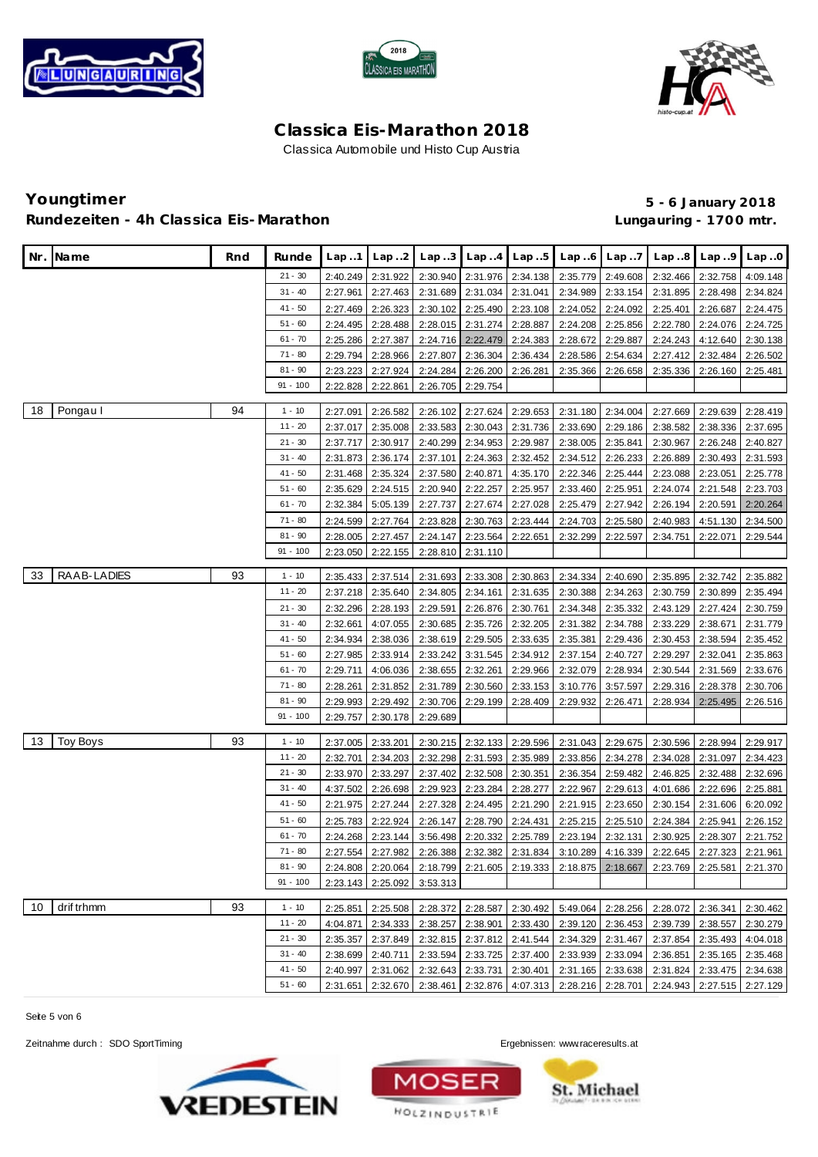





# **Youngtimer 5 - 6 January 2018** Rundezeiten - 4h Classica Eis-Marathon **and Eisene and Classica Eisene Eisene Eisene Eisene Eisene Eisene Eisen**

|    | Nr. Name        | Rnd | Runde                  | Lap.1                | Lap.2                | Lap.3                |                      | $Lap.4$ $Lap.5$      | Lap.6                                                                                     | Lap.7                | Lap.8                                                                                     | Lap.9                      | Lap.0                |
|----|-----------------|-----|------------------------|----------------------|----------------------|----------------------|----------------------|----------------------|-------------------------------------------------------------------------------------------|----------------------|-------------------------------------------------------------------------------------------|----------------------------|----------------------|
|    |                 |     | $21 - 30$              | 2:40.249             | 2:31.922             | 2:30.940             | 2:31.976             | 2:34.138             | 2:35.779                                                                                  | 2:49.608             | 2:32.466                                                                                  | 2:32.758                   | 4:09.148             |
|    |                 |     | $31 - 40$              | 2:27.961             | 2:27.463             | 2:31.689             | 2:31.034             | 2:31.041             | 2:34.989                                                                                  | 2:33.154             | 2:31.895                                                                                  | 2:28.498                   | 2:34.824             |
|    |                 |     | $41 - 50$              | 2:27.469             | 2:26.323             | 2:30.102             | 2:25.490             | 2:23.108             | 2:24.052                                                                                  | 2:24.092             | 2:25.401                                                                                  | 2:26.687                   | 2:24.475             |
|    |                 |     | $51 - 60$              | 2:24.495             | 2:28.488             | 2:28.015             | 2:31.274             | 2:28.887             | 2:24.208                                                                                  | 2:25.856             | 2:22.780                                                                                  | 2:24.076                   | 2:24.725             |
|    |                 |     | $61 - 70$              | 2:25.286             | 2:27.387             | 2:24.716             | 2:22.479             | 2:24.383             | 2:28.672                                                                                  | 2:29.887             | 2:24.243                                                                                  | 4:12.640                   | 2:30.138             |
|    |                 |     | $71 - 80$              | 2:29.794             | 2:28.966             | 2:27.807             | 2:36.304             | 2:36.434             | 2:28.586                                                                                  | 2:54.634             | 2:27.412                                                                                  | 2:32.484                   | 2:26.502             |
|    |                 |     | $81 - 90$              | 2:23.223             | 2:27.924             | 2:24.284             | 2:26.200             | 2:26.281             | 2:35.366                                                                                  | 2:26.658             | 2:35.336                                                                                  | 2:26.160                   | 2:25.481             |
|    |                 |     | $91 - 100$             | 2:22.828             | 2:22.861             | 2:26.705             | 2:29.754             |                      |                                                                                           |                      |                                                                                           |                            |                      |
|    |                 |     |                        |                      |                      |                      |                      |                      |                                                                                           |                      |                                                                                           |                            |                      |
| 18 | Pongau I        | 94  | $1 - 10$               | 2:27.091             | 2:26.582             | 2:26.102             | 2:27.624             | 2:29.653             | 2:31.180                                                                                  | 2:34.004             | 2:27.669                                                                                  | 2:29.639                   | 2:28.419             |
|    |                 |     | $11 - 20$              | 2:37.017             | 2:35.008             | 2:33.583             | 2:30.043             | 2:31.736             | 2:33.690                                                                                  | 2:29.186             | 2:38.582                                                                                  | 2:38.336                   | 2:37.695             |
|    |                 |     | $21 - 30$<br>$31 - 40$ | 2:37.717             | 2:30.917             | 2:40.299             | 2:34.953             | 2:29.987             | 2:38.005                                                                                  | 2:35.841             | 2:30.967                                                                                  | 2:26.248                   | 2:40.827             |
|    |                 |     | $41 - 50$              | 2:31.873             | 2:36.174             | 2:37.101             | 2:24.363             | 2:32.452             | 2:34.512                                                                                  | 2:26.233             | 2:26.889                                                                                  | 2:30.493                   | 2:31.593             |
|    |                 |     | $51 - 60$              | 2:31.468             | 2:35.324             | 2:37.580             | 2:40.871             | 4:35.170             | 2:22.346                                                                                  | 2:25.444             | 2:23.088                                                                                  | 2:23.051<br>2:21.548       | 2:25.778             |
|    |                 |     | $61 - 70$              | 2:35.629<br>2:32.384 | 2:24.515<br>5:05.139 | 2:20.940<br>2:27.737 | 2:22.257<br>2:27.674 | 2:25.957<br>2:27.028 | 2:33.460<br>2:25.479                                                                      | 2:25.951<br>2:27.942 | 2:24.074<br>2:26.194                                                                      | 2:20.591                   | 2:23.703<br>2:20.264 |
|    |                 |     | $71 - 80$              |                      |                      |                      | 2:30.763             | 2:23.444             |                                                                                           |                      |                                                                                           | 4:51.130                   |                      |
|    |                 |     | $81 - 90$              | 2:24.599             | 2:27.764             | 2:23.828             |                      |                      | 2:24.703                                                                                  | 2:25.580             | 2:40.983                                                                                  |                            | 2:34.500<br>2:29.544 |
|    |                 |     | $91 - 100$             | 2:28.005<br>2:23.050 | 2:27.457             | 2:24.147<br>2:28.810 | 2:23.564<br>2:31.110 | 2:22.651             | 2:32.299                                                                                  | 2:22.597             | 2:34.751                                                                                  | 2:22.071                   |                      |
|    |                 |     |                        |                      | 2:22.155             |                      |                      |                      |                                                                                           |                      |                                                                                           |                            |                      |
| 33 | RAAB-LADIES     | 93  | $1 - 10$               | 2:35.433             | 2:37.514             | 2:31.693             | 2:33.308             | 2:30.863             | 2:34.334                                                                                  | 2:40.690             | 2:35.895                                                                                  | 2:32.742                   | 2:35.882             |
|    |                 |     | $11 - 20$              | 2:37.218             | 2:35.640             | 2:34.805             | 2:34.161             | 2:31.635             | 2:30.388                                                                                  | 2:34.263             | 2:30.759                                                                                  | 2:30.899                   | 2:35.494             |
|    |                 |     | $21 - 30$              | 2:32.296             | 2:28.193             | 2:29.591             | 2:26.876             | 2:30.761             | 2:34.348                                                                                  | 2:35.332             | 2:43.129                                                                                  | 2:27.424                   | 2:30.759             |
|    |                 |     | $31 - 40$              | 2:32.661             | 4:07.055             | 2:30.685             | 2:35.726             | 2:32.205             | 2:31.382                                                                                  | 2:34.788             | 2:33.229                                                                                  | 2:38.671                   | 2:31.779             |
|    |                 |     | $41 - 50$              | 2:34.934             | 2:38.036             | 2:38.619             | 2:29.505             | 2:33.635             | 2:35.381                                                                                  | 2:29.436             | 2:30.453                                                                                  | 2:38.594                   | 2:35.452             |
|    |                 |     | $51 - 60$              | 2:27.985             | 2:33.914             | 2:33.242             | 3:31.545             | 2:34.912             | 2:37.154                                                                                  | 2:40.727             | 2:29.297                                                                                  | 2:32.041                   | 2:35.863             |
|    |                 |     | $61 - 70$              | 2:29.711             | 4:06.036             | 2:38.655             | 2:32.261             | 2:29.966             | 2:32.079                                                                                  | 2:28.934             | 2:30.544                                                                                  | 2:31.569                   | 2:33.676             |
|    |                 |     | $71 - 80$              | 2:28.261             | 2:31.852             | 2:31.789             | 2:30.560             | 2:33.153             | 3:10.776                                                                                  | 3:57.597             | 2:29.316                                                                                  | 2:28.378                   | 2:30.706             |
|    |                 |     | $81 - 90$              | 2:29.993             | 2:29.492             | 2:30.706             | 2:29.199             | 2:28.409             | 2:29.932                                                                                  | 2:26.471             | 2:28.934                                                                                  | 2:25.495                   | 2:26.516             |
|    |                 |     | $91 - 100$             | 2:29.757             | 2:30.178             | 2:29.689             |                      |                      |                                                                                           |                      |                                                                                           |                            |                      |
| 13 | <b>Toy Boys</b> | 93  | $1 - 10$               | 2:37.005             | 2:33.201             | 2:30.215             | 2:32.133             | 2:29.596             | 2:31.043                                                                                  | 2:29.675             | 2:30.596                                                                                  | 2:28.994                   | 2:29.917             |
|    |                 |     | $11 - 20$              | 2:32.701             | 2:34.203             | 2:32.298             | 2:31.593             | 2:35.989             | 2:33.856                                                                                  | 2:34.278             | 2:34.028                                                                                  | 2:31.097                   | 2:34.423             |
|    |                 |     | $21 - 30$              | 2:33.970             | 2:33.297             | 2:37.402             | 2:32.508             | 2:30.351             | 2:36.354                                                                                  | 2:59.482             | 2:46.825                                                                                  | 2:32.488                   | 2:32.696             |
|    |                 |     | $31 - 40$              | 4:37.502             | 2:26.698             | 2:29.923             | 2:23.284             | 2:28.277             | 2:22.967                                                                                  | 2:29.613             | 4:01.686                                                                                  | 2:22.696                   | 2:25.881             |
|    |                 |     | $41 - 50$              | 2:21.975             | 2:27.244             | 2:27.328             | 2:24.495             | 2:21.290             | 2:21.915                                                                                  | 2:23.650             | 2:30.154                                                                                  | 2:31.606                   | 6:20.092             |
|    |                 |     | $51 - 60$              | 2:25.783             | 2:22.924             | 2:26.147             | 2:28.790             | 2:24.431             | 2:25.215                                                                                  | 2:25.510             | 2:24.384                                                                                  | 2:25.941                   | 2:26.152             |
|    |                 |     | $61 - 70$              | 2:24.268             | 2:23.144             | 3:56.498             | 2:20.332             | 2:25.789             | 2:23.194                                                                                  | 2:32.131             | 2:30.925                                                                                  | 2:28.307                   | 2:21.752             |
|    |                 |     | $71 - 80$              | 2:27.554             | 2:27.982             | 2:26.388             | 2:32.382             | 2:31.834             | 3:10.289                                                                                  | 4:16.339             | 2:22.645                                                                                  | 2:27.323                   | 2:21.961             |
|    |                 |     | $81 - 90$              |                      |                      |                      |                      |                      |                                                                                           |                      | 2:24.808 2:20.064 2:18.799 2:21.605 2:19.333 2:18.875 2:18.667 2:23.769 2:25.581 2:21.370 |                            |                      |
|    |                 |     | $91 - 100$             |                      | 2:23.143 2:25.092    | 3:53.313             |                      |                      |                                                                                           |                      |                                                                                           |                            |                      |
| 10 | drif trhmm      | 93  | $1 - 10$               |                      |                      |                      |                      |                      |                                                                                           |                      | 2:25.851 2:25.508 2:28.372 2:28.587 2:30.492 5:49.064 2:28.256 2:28.072 2:36.341 2:30.462 |                            |                      |
|    |                 |     | $11 - 20$              |                      |                      |                      |                      |                      |                                                                                           |                      | 4:04.871 2:34.333 2:38.257 2:38.901 2:33.430 2:39.120 2:36.453 2:39.739 2:38.557 2:30.279 |                            |                      |
|    |                 |     | $21 - 30$              |                      |                      |                      |                      |                      | 2:35.357 2:37.849 2:32.815 2:37.812 2:41.544 2:34.329 2:31.467                            |                      |                                                                                           | 2:37.854 2:35.493 4:04.018 |                      |
|    |                 |     | $31 - 40$              |                      | 2:38.699 2:40.711    |                      |                      |                      | 2:33.594 2:33.725 2:37.400 2:33.939 2:33.094                                              |                      |                                                                                           | 2:36.851 2:35.165 2:35.468 |                      |
|    |                 |     | $41 - 50$              |                      |                      |                      |                      |                      |                                                                                           |                      | 2:40.997 2:31.062 2:32.643 2:33.731 2:30.401 2:31.165 2:33.638 2:31.824 2:33.475 2:34.638 |                            |                      |
|    |                 |     | $51 - 60$              |                      |                      |                      |                      |                      | 2:31.651 2:32.670 2:38.461 2:32.876 4:07.313 2:28.216 2:28.701 2:24.943 2:27.515 2:27.129 |                      |                                                                                           |                            |                      |

Seite 5 von 6